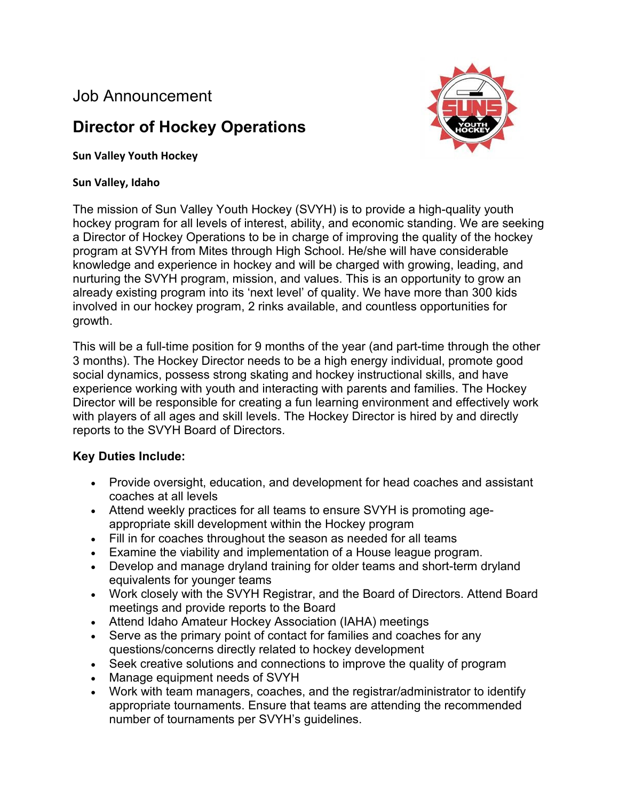## Job Announcement

# **Director of Hockey Operations**



#### **Sun Valley Youth Hockey**

#### **Sun Valley, Idaho**

The mission of Sun Valley Youth Hockey (SVYH) is to provide a high-quality youth hockey program for all levels of interest, ability, and economic standing. We are seeking a Director of Hockey Operations to be in charge of improving the quality of the hockey program at SVYH from Mites through High School. He/she will have considerable knowledge and experience in hockey and will be charged with growing, leading, and nurturing the SVYH program, mission, and values. This is an opportunity to grow an already existing program into its 'next level' of quality. We have more than 300 kids involved in our hockey program, 2 rinks available, and countless opportunities for growth.

This will be a full-time position for 9 months of the year (and part-time through the other 3 months). The Hockey Director needs to be a high energy individual, promote good social dynamics, possess strong skating and hockey instructional skills, and have experience working with youth and interacting with parents and families. The Hockey Director will be responsible for creating a fun learning environment and effectively work with players of all ages and skill levels. The Hockey Director is hired by and directly reports to the SVYH Board of Directors.

### **Key Duties Include:**

- Provide oversight, education, and development for head coaches and assistant coaches at all levels
- Attend weekly practices for all teams to ensure SVYH is promoting ageappropriate skill development within the Hockey program
- Fill in for coaches throughout the season as needed for all teams
- Examine the viability and implementation of a House league program.
- Develop and manage dryland training for older teams and short-term dryland equivalents for younger teams
- Work closely with the SVYH Registrar, and the Board of Directors. Attend Board meetings and provide reports to the Board
- Attend Idaho Amateur Hockey Association (IAHA) meetings
- Serve as the primary point of contact for families and coaches for any questions/concerns directly related to hockey development
- Seek creative solutions and connections to improve the quality of program
- Manage equipment needs of SVYH
- Work with team managers, coaches, and the registrar/administrator to identify appropriate tournaments. Ensure that teams are attending the recommended number of tournaments per SVYH's guidelines.